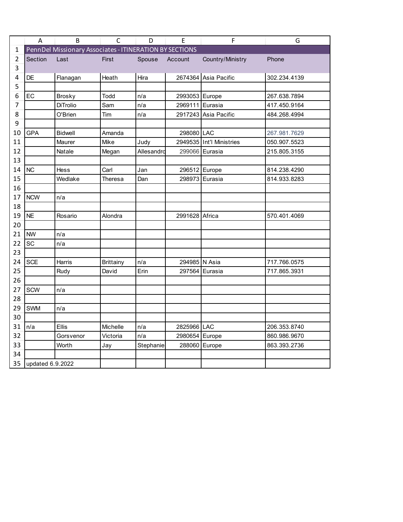|    | A                | B                                                       | $\mathsf{C}$     | D          | E               | $\mathsf F$              | G            |  |  |  |  |  |
|----|------------------|---------------------------------------------------------|------------------|------------|-----------------|--------------------------|--------------|--|--|--|--|--|
| 1  |                  | PennDel Missionary Associates - ITINERATION BY SECTIONS |                  |            |                 |                          |              |  |  |  |  |  |
| 2  | Section          | Last                                                    | First            | Spouse     | Account         | Country/Ministry         | Phone        |  |  |  |  |  |
| 3  |                  |                                                         |                  |            |                 |                          |              |  |  |  |  |  |
| 4  | DE               | Flanagan                                                | Heath            | Hira       |                 | 2674364 Asia Pacific     | 302.234.4139 |  |  |  |  |  |
| 5  |                  |                                                         |                  |            |                 |                          |              |  |  |  |  |  |
| 6  | EC               | <b>Brosky</b>                                           | Todd             | n/a        | 2993053 Europe  |                          | 267.638.7894 |  |  |  |  |  |
| 7  |                  | <b>DiTrolio</b>                                         | Sam              | n/a        | 2969111 Eurasia |                          | 417.450.9164 |  |  |  |  |  |
| 8  |                  | O'Brien                                                 | Tim              | n/a        |                 | 2917243 Asia Pacific     | 484.268.4994 |  |  |  |  |  |
| 9  |                  |                                                         |                  |            |                 |                          |              |  |  |  |  |  |
| 10 | GPA              | <b>Bidwell</b>                                          | Amanda           |            | 298080 LAC      |                          | 267.981.7629 |  |  |  |  |  |
| 11 |                  | Maurer                                                  | Mike             | Judy       |                 | 2949535 Int'l Ministries | 050.907.5523 |  |  |  |  |  |
| 12 |                  | Natale                                                  | Megan            | Allesandro | 299066          | Eurasia                  | 215.805.3155 |  |  |  |  |  |
| 13 |                  |                                                         |                  |            |                 |                          |              |  |  |  |  |  |
| 14 | <b>NC</b>        | <b>Hess</b>                                             | Carl             | Jan        | 296512 Europe   |                          | 814.238.4290 |  |  |  |  |  |
| 15 |                  | Wedlake                                                 | Theresa          | Dan        | 298973          | Eurasia                  | 814.933.8283 |  |  |  |  |  |
| 16 |                  |                                                         |                  |            |                 |                          |              |  |  |  |  |  |
| 17 | <b>NCW</b>       | n/a                                                     |                  |            |                 |                          |              |  |  |  |  |  |
| 18 |                  |                                                         |                  |            |                 |                          |              |  |  |  |  |  |
| 19 | <b>NE</b>        | Rosario                                                 | Alondra          |            | 2991628 Africa  |                          | 570.401.4069 |  |  |  |  |  |
| 20 |                  |                                                         |                  |            |                 |                          |              |  |  |  |  |  |
| 21 | <b>NW</b>        | n/a                                                     |                  |            |                 |                          |              |  |  |  |  |  |
| 22 | SC               | n/a                                                     |                  |            |                 |                          |              |  |  |  |  |  |
| 23 |                  |                                                         |                  |            |                 |                          |              |  |  |  |  |  |
| 24 | <b>SCE</b>       | <b>Harris</b>                                           | <b>Brittainy</b> | n/a        | 294985 N Asia   |                          | 717.766.0575 |  |  |  |  |  |
| 25 |                  | Rudy                                                    | David            | Erin       |                 | 297564 Eurasia           | 717.865.3931 |  |  |  |  |  |
| 26 |                  |                                                         |                  |            |                 |                          |              |  |  |  |  |  |
| 27 | SCW              | n/a                                                     |                  |            |                 |                          |              |  |  |  |  |  |
| 28 |                  |                                                         |                  |            |                 |                          |              |  |  |  |  |  |
| 29 | SWM              | n/a                                                     |                  |            |                 |                          |              |  |  |  |  |  |
| 30 |                  |                                                         |                  |            |                 |                          |              |  |  |  |  |  |
| 31 | n/a              | <b>Ellis</b>                                            | Michelle         | n/a        | 2825966 LAC     |                          | 206.353.8740 |  |  |  |  |  |
| 32 |                  | Gorsvenor                                               | Victoria         | n/a        | 2980654 Europe  |                          | 860.986.9670 |  |  |  |  |  |
| 33 |                  | Worth                                                   | Jay              | Stephanie  | 288060          | Europe                   | 863.393.2736 |  |  |  |  |  |
| 34 |                  |                                                         |                  |            |                 |                          |              |  |  |  |  |  |
| 35 | updated 6.9.2022 |                                                         |                  |            |                 |                          |              |  |  |  |  |  |